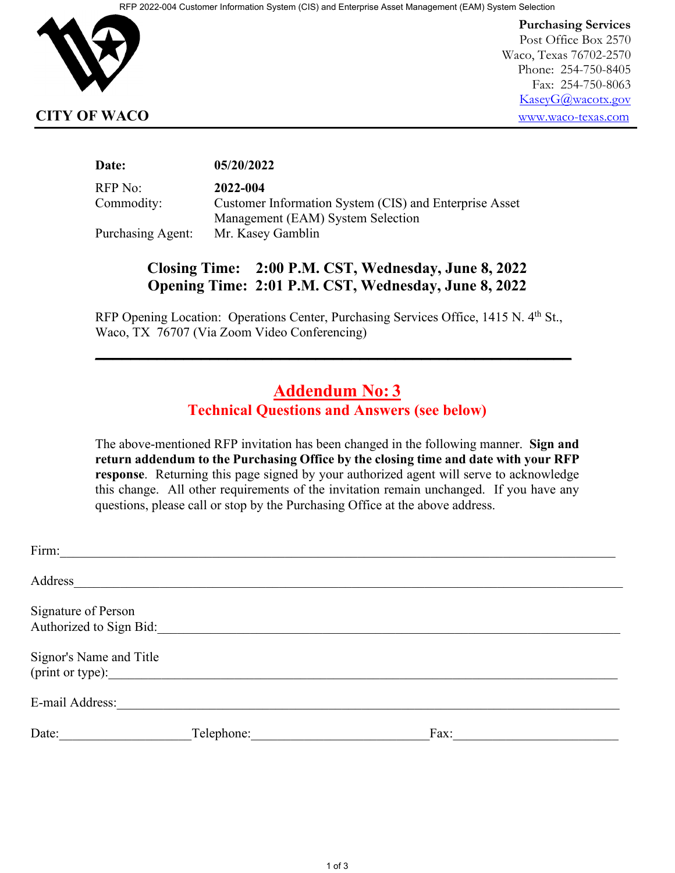

**Purchasing Services** Post Office Box 2570 Waco, Texas 76702-2570 Phone: 254-750-8405 Fax: 254-750-8063 [KaseyG@wacotx.gov](mailto:KaseyG@wacotx.gov) **CITY OF WACO** [www.waco-texas.com](file://NETAPP/HOMES/JodyC/0%20Purchasing/Utilities/2014/RFB%202014-012%20Generator%20Rebuild/www.waco-texas.com)

#### **Date: 05/20/2022**

RFP No: **2022-004**

Commodity: Customer Information System (CIS) and Enterprise Asset Management (EAM) System Selection Purchasing Agent: Mr. Kasey Gamblin

# **Closing Time: 2:00 P.M. CST, Wednesday, June 8, 2022 Opening Time: 2:01 P.M. CST, Wednesday, June 8, 2022**

RFP Opening Location: Operations Center, Purchasing Services Office, 1415 N. 4<sup>th</sup> St., Waco, TX 76707 (Via Zoom Video Conferencing)

**\_\_\_\_\_\_\_\_\_\_\_\_\_\_\_\_\_\_\_\_\_\_\_\_\_\_\_\_\_\_\_\_\_\_\_\_\_\_\_\_\_\_\_\_\_\_\_\_\_\_\_\_\_\_**

## **Addendum No: 3 Technical Questions and Answers (see below)**

The above-mentioned RFP invitation has been changed in the following manner. **Sign and return addendum to the Purchasing Office by the closing time and date with your RFP response**. Returning this page signed by your authorized agent will serve to acknowledge this change. All other requirements of the invitation remain unchanged. If you have any questions, please call or stop by the Purchasing Office at the above address.

| Firm:                                          |            |      |
|------------------------------------------------|------------|------|
| Address                                        |            |      |
| Signature of Person<br>Authorized to Sign Bid: |            |      |
| Signor's Name and Title<br>(print or type):    |            |      |
| E-mail Address:                                |            |      |
| Date:                                          | Telephone: | Fax: |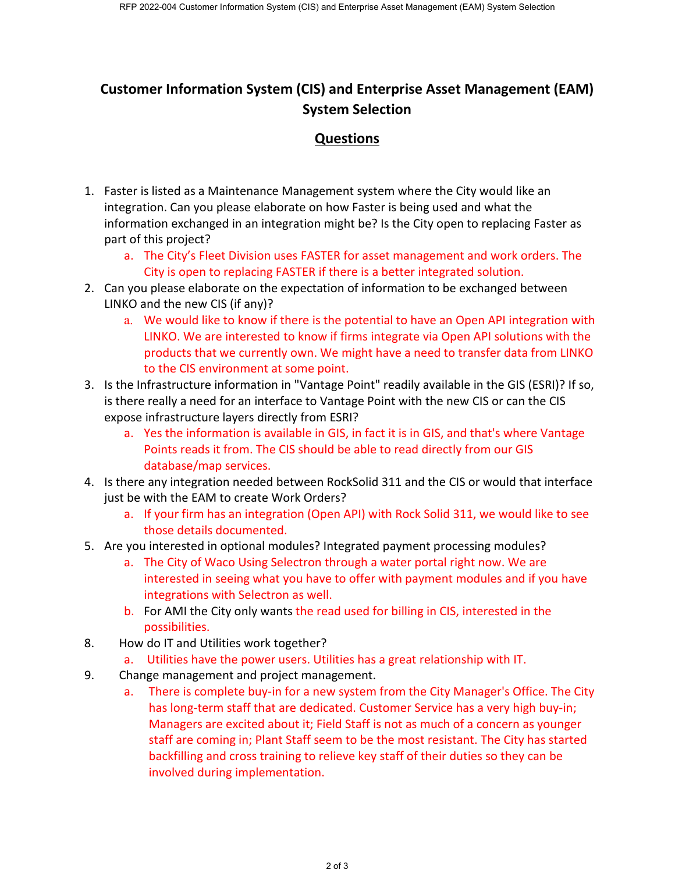# **Customer Information System (CIS) and Enterprise Asset Management (EAM) System Selection**

### **Questions**

- 1. Faster is listed as a Maintenance Management system where the City would like an integration. Can you please elaborate on how Faster is being used and what the information exchanged in an integration might be? Is the City open to replacing Faster as part of this project?
	- a. The City's Fleet Division uses FASTER for asset management and work orders. The City is open to replacing FASTER if there is a better integrated solution.
- 2. Can you please elaborate on the expectation of information to be exchanged between LINKO and the new CIS (if any)?
	- a. We would like to know if there is the potential to have an Open API integration with LINKO. We are interested to know if firms integrate via Open API solutions with the products that we currently own. We might have a need to transfer data from LINKO to the CIS environment at some point.
- 3. Is the Infrastructure information in "Vantage Point" readily available in the GIS (ESRI)? If so, is there really a need for an interface to Vantage Point with the new CIS or can the CIS expose infrastructure layers directly from ESRI?
	- a. Yes the information is available in GIS, in fact it is in GIS, and that's where Vantage Points reads it from. The CIS should be able to read directly from our GIS database/map services.
- 4. Is there any integration needed between RockSolid 311 and the CIS or would that interface just be with the EAM to create Work Orders?
	- a. If your firm has an integration (Open API) with Rock Solid 311, we would like to see those details documented.
- 5. Are you interested in optional modules? Integrated payment processing modules?
	- a. The City of Waco Using Selectron through a water portal right now. We are interested in seeing what you have to offer with payment modules and if you have integrations with Selectron as well.
	- b. For AMI the City only wants the read used for billing in CIS, interested in the possibilities.
- 8. How do IT and Utilities work together?
	- a. Utilities have the power users. Utilities has a great relationship with IT.
- 9. Change management and project management.
	- a. There is complete buy-in for a new system from the City Manager's Office. The City has long-term staff that are dedicated. Customer Service has a very high buy-in; Managers are excited about it; Field Staff is not as much of a concern as younger staff are coming in; Plant Staff seem to be the most resistant. The City has started backfilling and cross training to relieve key staff of their duties so they can be involved during implementation.